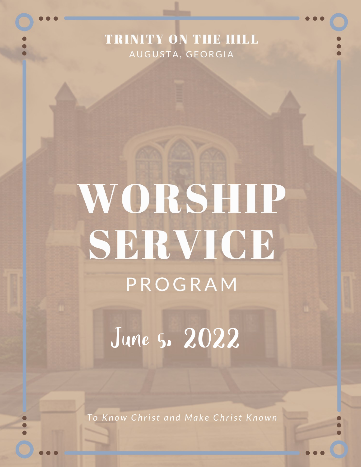## TRINITY ON THE HILL AUGUSTA, GEORGIA

# WORSHIP SERVICE PROGRAM

June 5. 2022

To Know Christ and Make Christ Known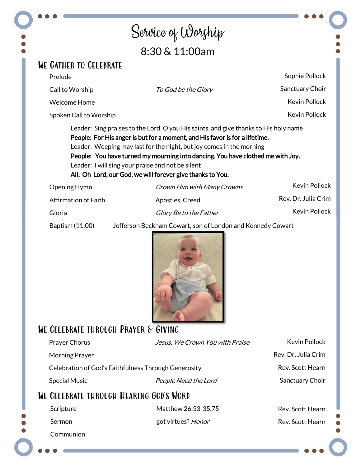## Service of Worship 8:30 & 11:00am

#### We Gather to Celebrate

| Prelude                     |                                                                                                                                                                                                                                                                                                                                                                                                                                                   | Sophie Pollock       |
|-----------------------------|---------------------------------------------------------------------------------------------------------------------------------------------------------------------------------------------------------------------------------------------------------------------------------------------------------------------------------------------------------------------------------------------------------------------------------------------------|----------------------|
| Call to Worship             | <i>To God be the Glory</i>                                                                                                                                                                                                                                                                                                                                                                                                                        | Sanctuary Choir      |
| <b>Welcome Home</b>         |                                                                                                                                                                                                                                                                                                                                                                                                                                                   | Kevin Pollock        |
| Spoken Call to Worship      |                                                                                                                                                                                                                                                                                                                                                                                                                                                   | Kevin Pollock        |
|                             | Leader: Sing praises to the Lord, O you His saints, and give thanks to His holy name<br>People: For His anger is but for a moment, and His favor is for a lifetime.<br>Leader: Weeping may last for the night, but joy comes in the morning<br>People: You have turned my mourning into dancing. You have clothed me with Joy.<br>Leader: I will sing your praise and not be silent<br>All: Oh Lord, our God, we will forever give thanks to You. |                      |
| Opening Hymn                | Crown Him with Many Crowns                                                                                                                                                                                                                                                                                                                                                                                                                        | <b>Kevin Pollock</b> |
| <b>Affirmation of Faith</b> | Apostles' Creed                                                                                                                                                                                                                                                                                                                                                                                                                                   | Rev. Dr. Julia Crim  |
| Gloria                      | <i>Glory Be to the Father</i>                                                                                                                                                                                                                                                                                                                                                                                                                     | <b>Kevin Pollock</b> |

Baptism (11:00) Jefferson Beckham Cowart, son of London and Kennedy Cowart



### WE CELEBRATE THROUGH PRAYER & GIVING

| <b>Prayer Chorus</b>                                 | Jesus, We Crown You with Praise | <b>Kevin Pollock</b> |
|------------------------------------------------------|---------------------------------|----------------------|
| <b>Morning Prayer</b>                                |                                 | Rev. Dr. Julia Crim  |
| Celebration of God's Faithfulness Through Generosity |                                 | Rev. Scott Hearn     |
| <b>Special Music</b>                                 | People Need the Lord            | Sanctuary Choir      |
| WE CELEBRATE THROUGH HEARING GOD'S WORD              |                                 |                      |
| Scripture                                            | Matthew 26:33-35,75             | Rev. Scott Hearn     |
| Sermon                                               | got virtues? Honor              | Rev. Scott Hearn     |
| Communion                                            |                                 |                      |
|                                                      |                                 |                      |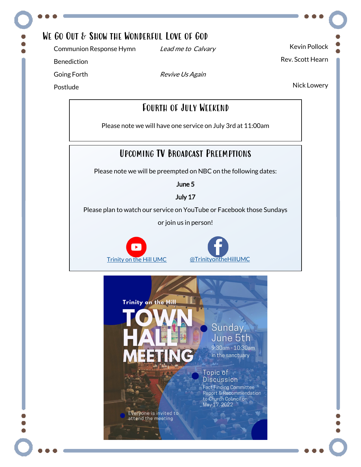